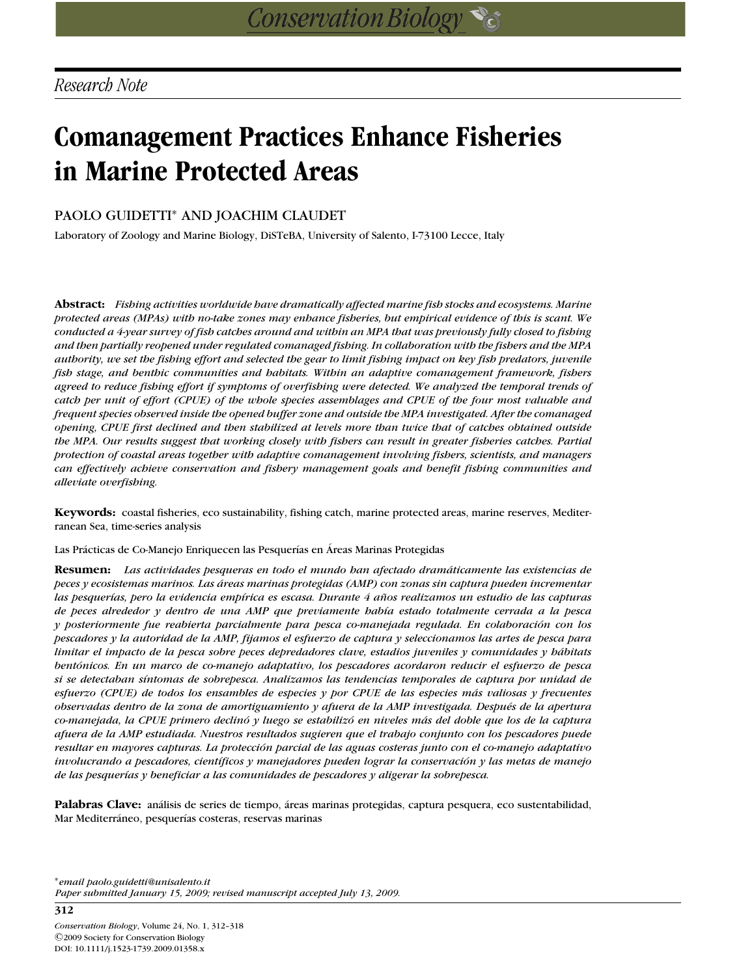# **Comanagement Practices Enhance Fisheries in Marine Protected Areas**

PAOLO GUIDETTI<sup>∗</sup> AND JOACHIM CLAUDET

Laboratory of Zoology and Marine Biology, DiSTeBA, University of Salento, I-73100 Lecce, Italy

**Abstract:** *Fishing activities worldwide have dramatically affected marine fish stocks and ecosystems. Marine protected areas (MPAs) with no-take zones may enhance fisheries, but empirical evidence of this is scant. We conducted a 4-year survey of fish catches around and within an MPA that was previously fully closed to fishing and then partially reopened under regulated comanaged fishing. In collaboration with the fishers and the MPA authority, we set the fishing effort and selected the gear to limit fishing impact on key fish predators, juvenile fish stage, and benthic communities and habitats. Within an adaptive comanagement framework, fishers agreed to reduce fishing effort if symptoms of overfishing were detected. We analyzed the temporal trends of catch per unit of effort (CPUE) of the whole species assemblages and CPUE of the four most valuable and frequent species observed inside the opened buffer zone and outside the MPA investigated. After the comanaged opening, CPUE first declined and then stabilized at levels more than twice that of catches obtained outside the MPA. Our results suggest that working closely with fishers can result in greater fisheries catches. Partial protection of coastal areas together with adaptive comanagement involving fishers, scientists, and managers can effectively achieve conservation and fishery management goals and benefit fishing communities and alleviate overfishing.*

**Keywords:** coastal fisheries, eco sustainability, fishing catch, marine protected areas, marine reserves, Mediterranean Sea, time-series analysis

Las Prácticas de Co-Manejo Enriquecen las Pesquerías en Áreas Marinas Protegidas

**Resumen:** *Las actividades pesqueras en todo el mundo han afectado dramaticamente las existencias de ´ peces y ecosistemas marinos. Las areas marinas protegidas (AMP) con zonas sin captura pueden incrementar ´ las pesquer´ıas, pero la evidencia emp´ırica es escasa. Durante 4 anos realizamos un estudio de las capturas ˜ de peces alrededor y dentro de una AMP que previamente hab´ıa estado totalmente cerrada a la pesca y posteriormente fue reabierta parcialmente para pesca co-manejada regulada. En colaboracion con los ´ pescadores y la autoridad de la AMP, fijamos el esfuerzo de captura y seleccionamos las artes de pesca para limitar el impacto de la pesca sobre peces depredadores clave, estadios juveniles y comunidades y habitats ´ bentonicos. En un marco de co-manejo adaptativo, los pescadores acordaron reducir el esfuerzo de pesca ´ si se detectaban s´ıntomas de sobrepesca. Analizamos las tendencias temporales de captura por unidad de esfuerzo (CPUE) de todos los ensambles de especies y por CPUE de las especies mas valiosas y frecuentes ´ observadas dentro de la zona de amortiguamiento y afuera de la AMP investigada. Despu´es de la apertura co-manejada, la CPUE primero declino y luego se estabiliz ´ o en niveles m ´ as del doble que los de la captura ´ afuera de la AMP estudiada. Nuestros resultados sugieren que el trabajo conjunto con los pescadores puede resultar en mayores capturas. La proteccion parcial de las aguas costeras junto con el co-manejo adaptativo ´ involucrando a pescadores, cient´ıficos y manejadores pueden lograr la conservacion y las metas de manejo ´ de las pesquer´ıas y beneficiar a las comunidades de pescadores y aligerar la sobrepesca.*

Palabras Clave: análisis de series de tiempo, áreas marinas protegidas, captura pesquera, eco sustentabilidad, Mar Mediterráneo, pesquerías costeras, reservas marinas

<sup>∗</sup>*email paolo.guidetti@unisalento.it Paper submitted January 15, 2009; revised manuscript accepted July 13, 2009.*

*Conservation Biology*, Volume 24, No. 1, 312–318 C 2009 Society for Conservation Biology DOI: 10.1111/j.1523-1739.2009.01358.x

#### **312**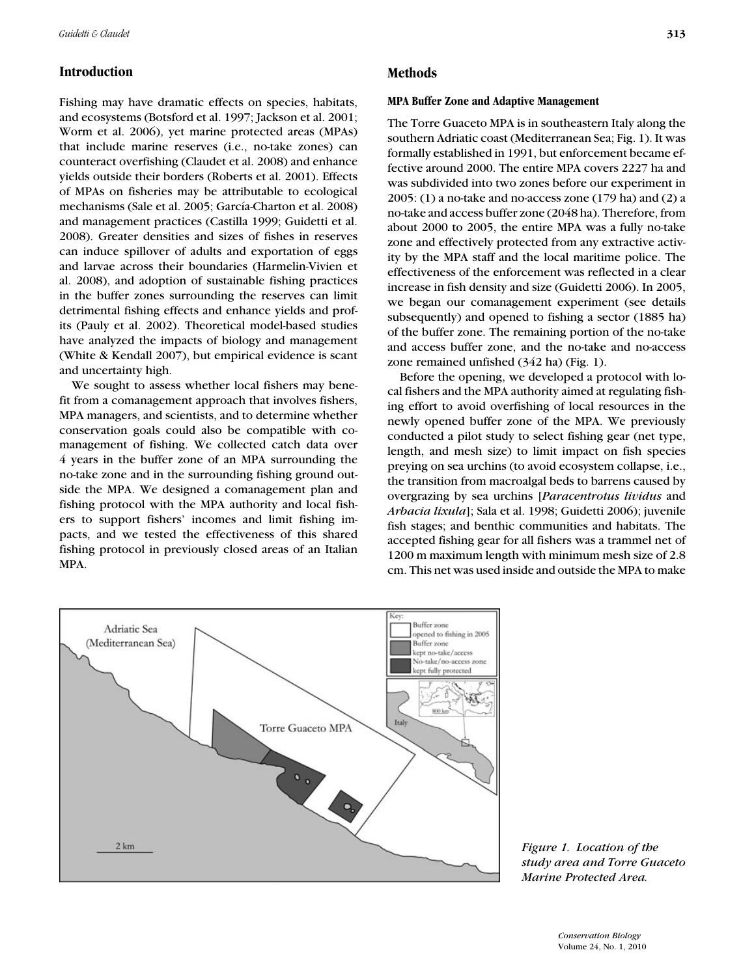# **Introduction**

Fishing may have dramatic effects on species, habitats, and ecosystems (Botsford et al. 1997; Jackson et al. 2001; Worm et al. 2006), yet marine protected areas (MPAs) that include marine reserves (i.e., no-take zones) can counteract overfishing (Claudet et al. 2008) and enhance yields outside their borders (Roberts et al. 2001). Effects of MPAs on fisheries may be attributable to ecological mechanisms (Sale et al. 2005; García-Charton et al. 2008) and management practices (Castilla 1999; Guidetti et al. 2008). Greater densities and sizes of fishes in reserves can induce spillover of adults and exportation of eggs and larvae across their boundaries (Harmelin-Vivien et al. 2008), and adoption of sustainable fishing practices in the buffer zones surrounding the reserves can limit detrimental fishing effects and enhance yields and profits (Pauly et al. 2002). Theoretical model-based studies have analyzed the impacts of biology and management (White & Kendall 2007), but empirical evidence is scant and uncertainty high.

We sought to assess whether local fishers may benefit from a comanagement approach that involves fishers, MPA managers, and scientists, and to determine whether conservation goals could also be compatible with comanagement of fishing. We collected catch data over 4 years in the buffer zone of an MPA surrounding the no-take zone and in the surrounding fishing ground outside the MPA. We designed a comanagement plan and fishing protocol with the MPA authority and local fishers to support fishers' incomes and limit fishing impacts, and we tested the effectiveness of this shared fishing protocol in previously closed areas of an Italian MPA.

# **Methods**

### **MPA Buffer Zone and Adaptive Management**

The Torre Guaceto MPA is in southeastern Italy along the southern Adriatic coast (Mediterranean Sea; Fig. 1). It was formally established in 1991, but enforcement became effective around 2000. The entire MPA covers 2227 ha and was subdivided into two zones before our experiment in 2005: (1) a no-take and no-access zone (179 ha) and (2) a no-take and access buffer zone (2048 ha). Therefore, from about 2000 to 2005, the entire MPA was a fully no-take zone and effectively protected from any extractive activity by the MPA staff and the local maritime police. The effectiveness of the enforcement was reflected in a clear increase in fish density and size (Guidetti 2006). In 2005, we began our comanagement experiment (see details subsequently) and opened to fishing a sector (1885 ha) of the buffer zone. The remaining portion of the no-take and access buffer zone, and the no-take and no-access zone remained unfished (342 ha) (Fig. 1).

Before the opening, we developed a protocol with local fishers and the MPA authority aimed at regulating fishing effort to avoid overfishing of local resources in the newly opened buffer zone of the MPA. We previously conducted a pilot study to select fishing gear (net type, length, and mesh size) to limit impact on fish species preying on sea urchins (to avoid ecosystem collapse, i.e., the transition from macroalgal beds to barrens caused by overgrazing by sea urchins [*Paracentrotus lividus* and *Arbacia lixula*]; Sala et al. 1998; Guidetti 2006); juvenile fish stages; and benthic communities and habitats. The accepted fishing gear for all fishers was a trammel net of 1200 m maximum length with minimum mesh size of 2.8 cm. This net was used inside and outside the MPA to make



*Figure 1. Location of the study area and Torre Guaceto Marine Protected Area.*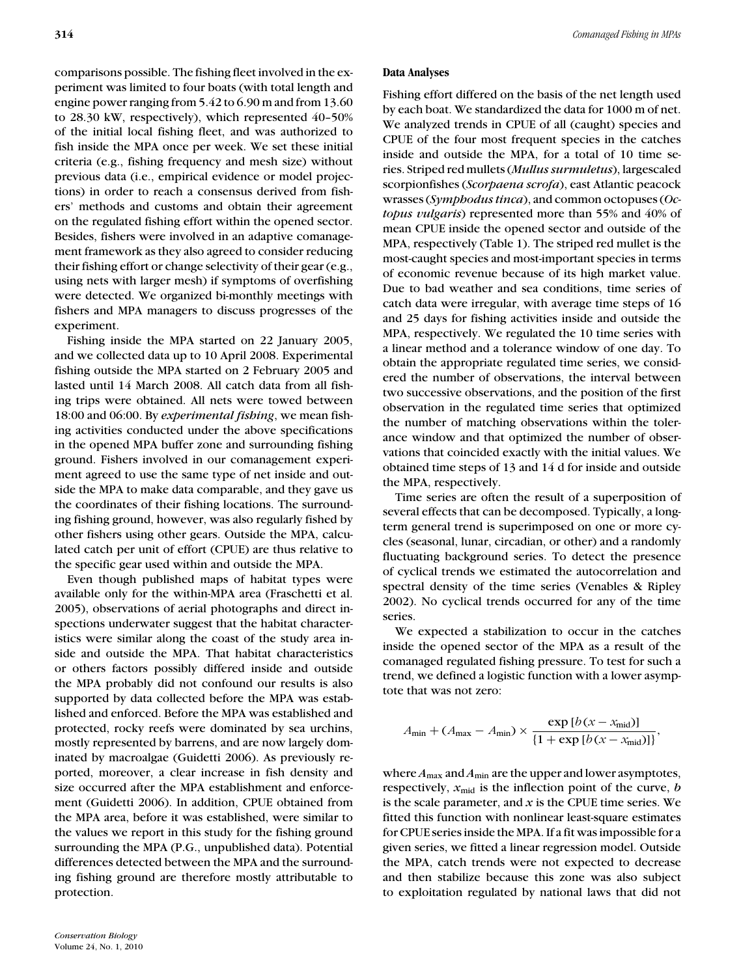comparisons possible. The fishing fleet involved in the experiment was limited to four boats (with total length and engine power ranging from 5.42 to 6.90 m and from 13.60 to 28.30 kW, respectively), which represented 40–50% of the initial local fishing fleet, and was authorized to fish inside the MPA once per week. We set these initial criteria (e.g., fishing frequency and mesh size) without previous data (i.e., empirical evidence or model projections) in order to reach a consensus derived from fishers' methods and customs and obtain their agreement on the regulated fishing effort within the opened sector. Besides, fishers were involved in an adaptive comanagement framework as they also agreed to consider reducing their fishing effort or change selectivity of their gear (e.g., using nets with larger mesh) if symptoms of overfishing were detected. We organized bi-monthly meetings with fishers and MPA managers to discuss progresses of the experiment.

Fishing inside the MPA started on 22 January 2005, and we collected data up to 10 April 2008. Experimental fishing outside the MPA started on 2 February 2005 and lasted until 14 March 2008. All catch data from all fishing trips were obtained. All nets were towed between 18:00 and 06:00. By *experimental fishing*, we mean fishing activities conducted under the above specifications in the opened MPA buffer zone and surrounding fishing ground. Fishers involved in our comanagement experiment agreed to use the same type of net inside and outside the MPA to make data comparable, and they gave us the coordinates of their fishing locations. The surrounding fishing ground, however, was also regularly fished by other fishers using other gears. Outside the MPA, calculated catch per unit of effort (CPUE) are thus relative to the specific gear used within and outside the MPA.

Even though published maps of habitat types were available only for the within-MPA area (Fraschetti et al. 2005), observations of aerial photographs and direct inspections underwater suggest that the habitat characteristics were similar along the coast of the study area inside and outside the MPA. That habitat characteristics or others factors possibly differed inside and outside the MPA probably did not confound our results is also supported by data collected before the MPA was established and enforced. Before the MPA was established and protected, rocky reefs were dominated by sea urchins, mostly represented by barrens, and are now largely dominated by macroalgae (Guidetti 2006). As previously reported, moreover, a clear increase in fish density and size occurred after the MPA establishment and enforcement (Guidetti 2006). In addition, CPUE obtained from the MPA area, before it was established, were similar to the values we report in this study for the fishing ground surrounding the MPA (P.G., unpublished data). Potential differences detected between the MPA and the surrounding fishing ground are therefore mostly attributable to protection.

#### **Data Analyses**

Fishing effort differed on the basis of the net length used by each boat. We standardized the data for 1000 m of net. We analyzed trends in CPUE of all (caught) species and CPUE of the four most frequent species in the catches inside and outside the MPA, for a total of 10 time series. Striped red mullets (*Mullus surmuletus*), largescaled scorpionfishes (*Scorpaena scrofa*), east Atlantic peacock wrasses (*Symphodus tinca*), and common octopuses (*Octopus vulgaris*) represented more than 55% and 40% of mean CPUE inside the opened sector and outside of the MPA, respectively (Table 1). The striped red mullet is the most-caught species and most-important species in terms of economic revenue because of its high market value. Due to bad weather and sea conditions, time series of catch data were irregular, with average time steps of 16 and 25 days for fishing activities inside and outside the MPA, respectively. We regulated the 10 time series with a linear method and a tolerance window of one day. To obtain the appropriate regulated time series, we considered the number of observations, the interval between two successive observations, and the position of the first observation in the regulated time series that optimized the number of matching observations within the tolerance window and that optimized the number of observations that coincided exactly with the initial values. We obtained time steps of 13 and 14 d for inside and outside the MPA, respectively.

Time series are often the result of a superposition of several effects that can be decomposed. Typically, a longterm general trend is superimposed on one or more cycles (seasonal, lunar, circadian, or other) and a randomly fluctuating background series. To detect the presence of cyclical trends we estimated the autocorrelation and spectral density of the time series (Venables & Ripley 2002). No cyclical trends occurred for any of the time series.

We expected a stabilization to occur in the catches inside the opened sector of the MPA as a result of the comanaged regulated fishing pressure. To test for such a trend, we defined a logistic function with a lower asymptote that was not zero:

$$
A_{\min} + (A_{\max} - A_{\min}) \times \frac{\exp [b(x - x_{\text{mid}})]}{\{1 + \exp [b(x - x_{\text{mid}})]\}},
$$

where  $A_{\text{max}}$  and  $A_{\text{min}}$  are the upper and lower asymptotes, respectively,  $x_{mid}$  is the inflection point of the curve, *b* is the scale parameter, and *x* is the CPUE time series. We fitted this function with nonlinear least-square estimates for CPUE series inside the MPA. If a fit was impossible for a given series, we fitted a linear regression model. Outside the MPA, catch trends were not expected to decrease and then stabilize because this zone was also subject to exploitation regulated by national laws that did not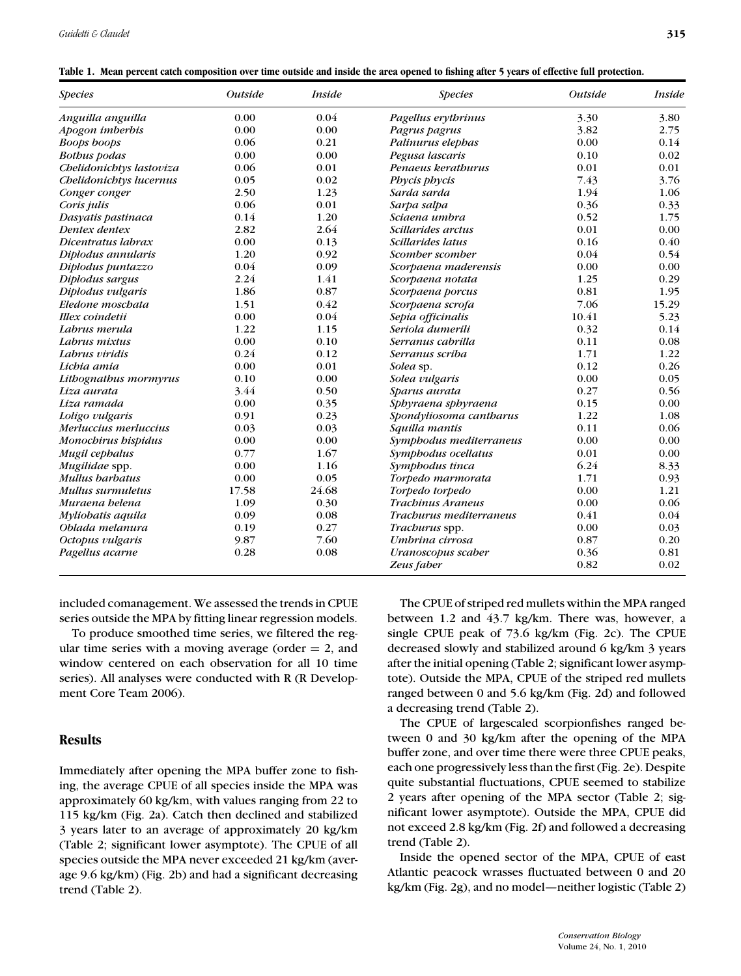| Table 1. Mean percent catch composition over time outside and inside the area opened to fishing after 5 years of effective full protection. |  |  |  |
|---------------------------------------------------------------------------------------------------------------------------------------------|--|--|--|
|                                                                                                                                             |  |  |  |

| <b>Species</b>           | Outside | <i>Inside</i> | <b>Species</b>           | Outside | <i>Inside</i> |
|--------------------------|---------|---------------|--------------------------|---------|---------------|
| Anguilla anguilla        | 0.00    | 0.04          | Pagellus erythrinus      | 3.30    | 3.80          |
| Apogon imberbis          | 0.00    | 0.00          | Pagrus pagrus            | 3.82    | 2.75          |
| <b>Boops</b> boops       | 0.06    | 0.21          | Palinurus elephas        | 0.00    | 0.14          |
| <b>Bothus</b> podas      | 0.00    | 0.00          | Pegusa lascaris          | 0.10    | 0.02          |
| Chelidonichtys lastoviza | 0.06    | 0.01          | Penaeus kerathurus       | 0.01    | 0.01          |
| Chelidonichtys lucernus  | 0.05    | 0.02          | Phycis phycis            | 7.43    | 3.76          |
| Conger conger            | 2.50    | 1.23          | Sarda sarda              | 1.94    | 1.06          |
| Coris julis              | 0.06    | 0.01          | Sarpa salpa              | 0.36    | 0.33          |
| Dasyatis pastinaca       | 0.14    | 1.20          | Sciaena umbra            | 0.52    | 1.75          |
| Dentex dentex            | 2.82    | 2.64          | Scillarides arctus       | 0.01    | 0.00          |
| Dicentratus labrax       | 0.00    | 0.13          | Scillarides latus        | 0.16    | 0.40          |
| Diplodus annularis       | 1.20    | 0.92          | Scomber scomber          | 0.04    | 0.54          |
| Diplodus puntazzo        | 0.04    | 0.09          | Scorpaena maderensis     | 0.00    | 0.00          |
| Diplodus sargus          | 2.24    | 1.41          | Scorpaena notata         | 1.25    | 0.29          |
| Diplodus vulgaris        | 1.86    | 0.87          | Scorpaena porcus         | 0.81    | 1.95          |
| Eledone moschata         | 1.51    | 0.42          | Scorpaena scrofa         | 7.06    | 15.29         |
| Illex coindetii          | 0.00    | 0.04          | Sepia officinalis        | 10.41   | 5.23          |
| Labrus merula            | 1.22    | 1.15          | Seriola dumerili         | 0.32    | 0.14          |
| Labrus mixtus            | 0.00    | 0.10          | Serranus cabrilla        | 0.11    | 0.08          |
| Labrus viridis           | 0.24    | 0.12          | Serranus scriba          | 1.71    | 1.22          |
| Lichia amia              | 0.00    | 0.01          | Solea sp.                | 0.12    | 0.26          |
| Lithognathus mormyrus    | 0.10    | 0.00          | Solea vulgaris           | 0.00    | 0.05          |
| Liza aurata              | 3.44    | 0.50          | Sparus aurata            | 0.27    | 0.56          |
| Liza ramada              | 0.00    | 0.35          | Sphyraena sphyraena      | 0.15    | 0.00          |
| Loligo vulgaris          | 0.91    | 0.23          | Spondyliosoma cantbarus  | 1.22    | 1.08          |
| Merluccius merluccius    | 0.03    | 0.03          | Squilla mantis           | 0.11    | 0.06          |
| Monochirus hispidus      | 0.00    | 0.00          | Symphodus mediterraneus  | 0.00    | 0.00          |
| Mugil cephalus           | 0.77    | 1.67          | Symphodus ocellatus      | 0.01    | 0.00          |
| Mugilidae spp.           | 0.00    | 1.16          | Symphodus tinca          | 6.24    | 8.33          |
| Mullus barbatus          | 0.00    | 0.05          | Torpedo marmorata        | 1.71    | 0.93          |
| Mullus surmuletus        | 17.58   | 24.68         | Torpedo torpedo          | 0.00    | 1.21          |
| Muraena helena           | 1.09    | 0.30          | <b>Trachinus Araneus</b> | 0.00    | 0.06          |
| Myliobatis aquila        | 0.09    | 0.08          | Trachurus mediterraneus  | 0.41    | 0.04          |
| Oblada melanura          | 0.19    | 0.27          | Trachurus spp.           | 0.00    | 0.03          |
| Octopus vulgaris         | 9.87    | 7.60          | Umbrina cirrosa          | 0.87    | 0.20          |
| Pagellus acarne          | 0.28    | 0.08          | Uranoscopus scaber       | 0.36    | 0.81          |
|                          |         |               | Zeus faber               | 0.82    | 0.02          |

included comanagement. We assessed the trends in CPUE series outside the MPA by fitting linear regression models.

To produce smoothed time series, we filtered the regular time series with a moving average (order  $= 2$ , and window centered on each observation for all 10 time series). All analyses were conducted with R (R Development Core Team 2006).

# **Results**

Immediately after opening the MPA buffer zone to fishing, the average CPUE of all species inside the MPA was approximately 60 kg/km, with values ranging from 22 to 115 kg/km (Fig. 2a). Catch then declined and stabilized 3 years later to an average of approximately 20 kg/km (Table 2; significant lower asymptote). The CPUE of all species outside the MPA never exceeded 21 kg/km (average 9.6 kg/km) (Fig. 2b) and had a significant decreasing trend (Table 2).

The CPUE of striped red mullets within the MPA ranged between 1.2 and 43.7 kg/km. There was, however, a single CPUE peak of 73.6 kg/km (Fig. 2c). The CPUE decreased slowly and stabilized around 6 kg/km 3 years after the initial opening (Table 2; significant lower asymptote). Outside the MPA, CPUE of the striped red mullets ranged between 0 and 5.6 kg/km (Fig. 2d) and followed a decreasing trend (Table 2).

The CPUE of largescaled scorpionfishes ranged between 0 and 30 kg/km after the opening of the MPA buffer zone, and over time there were three CPUE peaks, each one progressively less than the first (Fig. 2e). Despite quite substantial fluctuations, CPUE seemed to stabilize 2 years after opening of the MPA sector (Table 2; significant lower asymptote). Outside the MPA, CPUE did not exceed 2.8 kg/km (Fig. 2f) and followed a decreasing trend (Table 2).

Inside the opened sector of the MPA, CPUE of east Atlantic peacock wrasses fluctuated between 0 and 20 kg/km (Fig. 2g), and no model—neither logistic (Table 2)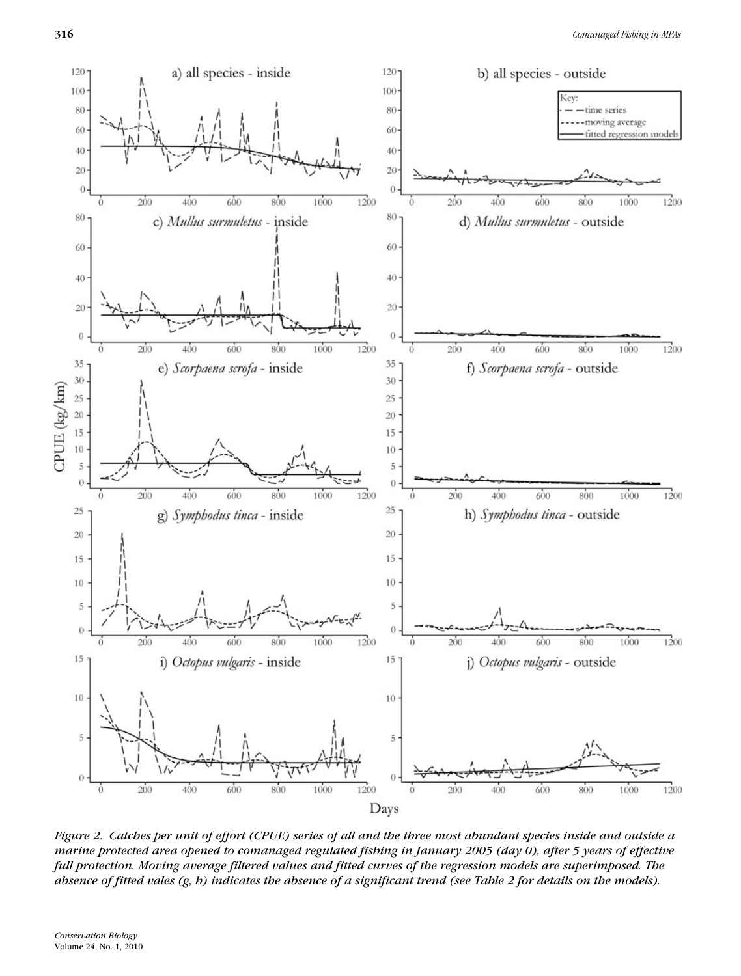

*Figure 2. Catches per unit of effort (CPUE) series of all and the three most abundant species inside and outside a marine protected area opened to comanaged regulated fishing in January 2005 (day 0), after 5 years of effective full protection. Moving average filtered values and fitted curves of the regression models are superimposed. The absence of fitted vales (g, h) indicates the absence of a significant trend (see Table 2 for details on the models).*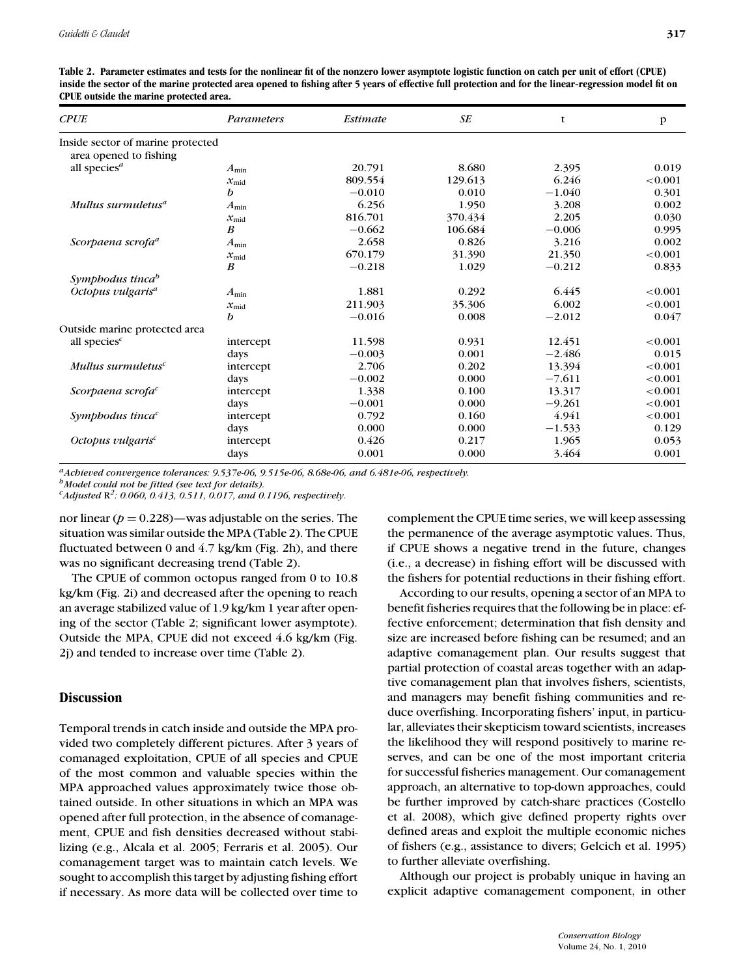**Table 2. Parameter estimates and tests for the nonlinear fit of the nonzero lower asymptote logistic function on catch per unit of effort (CPUE) inside the sector of the marine protected area opened to fishing after 5 years of effective full protection and for the linear-regression model fit on CPUE outside the marine protected area.**

| CPUE                                                        | <b>Parameters</b> | Estimate | <b>SE</b> | t        | p       |
|-------------------------------------------------------------|-------------------|----------|-----------|----------|---------|
| Inside sector of marine protected<br>area opened to fishing |                   |          |           |          |         |
| all species <sup>a</sup>                                    | $A_{\min}$        | 20.791   | 8.680     | 2.395    | 0.019   |
|                                                             | $x_{mid}$         | 809.554  | 129.613   | 6.246    | < 0.001 |
|                                                             | b                 | $-0.010$ | 0.010     | $-1.040$ | 0.301   |
| Mullus surmuletus <sup>a</sup>                              | $A_{\min}$        | 6.256    | 1.950     | 3.208    | 0.002   |
|                                                             | $x_{mid}$         | 816.701  | 370.434   | 2.205    | 0.030   |
|                                                             | $\boldsymbol{B}$  | $-0.662$ | 106.684   | $-0.006$ | 0.995   |
| Scorpaena scrofa <sup>a</sup>                               | $A_{\min}$        | 2.658    | 0.826     | 3.216    | 0.002   |
|                                                             | $x_{mid}$         | 670.179  | 31.390    | 21.350   | < 0.001 |
|                                                             | $\boldsymbol{B}$  | $-0.218$ | 1.029     | $-0.212$ | 0.833   |
| Symphodus tinca <sup>b</sup>                                |                   |          |           |          |         |
| Octopus vulgaris <sup>a</sup>                               | $A_{\min}$        | 1.881    | 0.292     | 6.445    | < 0.001 |
|                                                             | $x_{mid}$         | 211.903  | 35.306    | 6.002    | < 0.001 |
|                                                             | b                 | $-0.016$ | 0.008     | $-2.012$ | 0.047   |
| Outside marine protected area                               |                   |          |           |          |         |
| all species $c$                                             | intercept         | 11.598   | 0.931     | 12.451   | < 0.001 |
|                                                             | days              | $-0.003$ | 0.001     | $-2.486$ | 0.015   |
| Mullus surmuletus $c$                                       | intercept         | 2.706    | 0.202     | 13.394   | < 0.001 |
|                                                             | days              | $-0.002$ | 0.000     | $-7.611$ | < 0.001 |
| Scorpaena scrofa <sup>c</sup>                               | intercept         | 1.338    | 0.100     | 13.317   | < 0.001 |
|                                                             | days              | $-0.001$ | 0.000     | $-9.261$ | < 0.001 |
| Symphodus tinca <sup>c</sup>                                | intercept         | 0.792    | 0.160     | 4.941    | < 0.001 |
|                                                             | days              | 0.000    | 0.000     | $-1.533$ | 0.129   |
| Octopus vulgaris <sup>c</sup>                               | intercept         | 0.426    | 0.217     | 1.965    | 0.053   |
|                                                             | days              | 0.001    | 0.000     | 3.464    | 0.001   |

*aAchieved convergence tolerances: 9.537e-06, 9.515e-06, 8.68e-06, and 6.481e-06, respectively.*

*bModel could not be fitted (see text for details).*

 $c$ Adjusted R<sup>2</sup>: 0.060, 0.413, 0.511, 0.017, and 0.1196, respectively.

nor linear  $(p = 0.228)$ —was adjustable on the series. The situation was similar outside the MPA (Table 2). The CPUE fluctuated between 0 and 4.7 kg/km (Fig. 2h), and there was no significant decreasing trend (Table 2).

The CPUE of common octopus ranged from 0 to 10.8 kg/km (Fig. 2i) and decreased after the opening to reach an average stabilized value of 1.9 kg/km 1 year after opening of the sector (Table 2; significant lower asymptote). Outside the MPA, CPUE did not exceed 4.6 kg/km (Fig. 2j) and tended to increase over time (Table 2).

# **Discussion**

Temporal trends in catch inside and outside the MPA provided two completely different pictures. After 3 years of comanaged exploitation, CPUE of all species and CPUE of the most common and valuable species within the MPA approached values approximately twice those obtained outside. In other situations in which an MPA was opened after full protection, in the absence of comanagement, CPUE and fish densities decreased without stabilizing (e.g., Alcala et al. 2005; Ferraris et al. 2005). Our comanagement target was to maintain catch levels. We sought to accomplish this target by adjusting fishing effort if necessary. As more data will be collected over time to complement the CPUE time series, we will keep assessing the permanence of the average asymptotic values. Thus, if CPUE shows a negative trend in the future, changes (i.e., a decrease) in fishing effort will be discussed with the fishers for potential reductions in their fishing effort.

According to our results, opening a sector of an MPA to benefit fisheries requires that the following be in place: effective enforcement; determination that fish density and size are increased before fishing can be resumed; and an adaptive comanagement plan. Our results suggest that partial protection of coastal areas together with an adaptive comanagement plan that involves fishers, scientists, and managers may benefit fishing communities and reduce overfishing. Incorporating fishers' input, in particular, alleviates their skepticism toward scientists, increases the likelihood they will respond positively to marine reserves, and can be one of the most important criteria for successful fisheries management. Our comanagement approach, an alternative to top-down approaches, could be further improved by catch-share practices (Costello et al. 2008), which give defined property rights over defined areas and exploit the multiple economic niches of fishers (e.g., assistance to divers; Gelcich et al. 1995) to further alleviate overfishing.

Although our project is probably unique in having an explicit adaptive comanagement component, in other